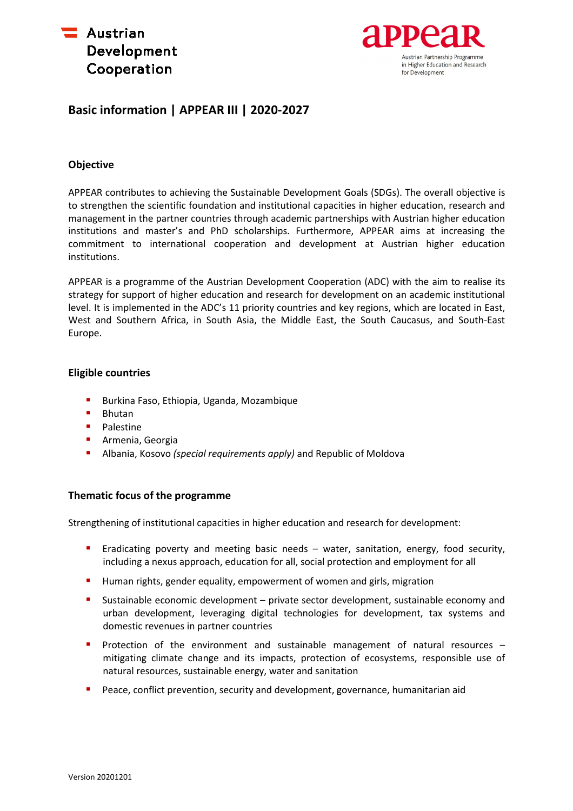



# **Basic information | APPEAR III | 2020-2027**

# **Objective**

APPEAR contributes to achieving the Sustainable Development Goals (SDGs). The overall objective is to strengthen the scientific foundation and institutional capacities in higher education, research and management in the partner countries through academic partnerships with Austrian higher education institutions and master's and PhD scholarships. Furthermore, APPEAR aims at increasing the commitment to international cooperation and development at Austrian higher education institutions.

APPEAR is a programme of the Austrian Development Cooperation (ADC) with the aim to realise its strategy for support of higher education and research for development on an academic institutional level. It is implemented in the ADC's 11 priority countries and key regions, which are located in East, West and Southern Africa, in South Asia, the Middle East, the South Caucasus, and South-East Europe.

### **Eligible countries**

- **Burkina Faso, Ethiopia, Uganda, Mozambique**
- **Bhutan**
- **Palestine**
- **•** Armenia, Georgia
- Albania, Kosovo *(special requirements apply)* and Republic of Moldova

# **Thematic focus of the programme**

Strengthening of institutional capacities in higher education and research for development:

- **Example 1** Eradicating poverty and meeting basic needs water, sanitation, energy, food security, including a nexus approach, education for all, social protection and employment for all
- **Human rights, gender equality, empowerment of women and girls, migration**
- Sustainable economic development private sector development, sustainable economy and urban development, leveraging digital technologies for development, tax systems and domestic revenues in partner countries
- **Protection of the environment and sustainable management of natural resources** mitigating climate change and its impacts, protection of ecosystems, responsible use of natural resources, sustainable energy, water and sanitation
- Peace, conflict prevention, security and development, governance, humanitarian aid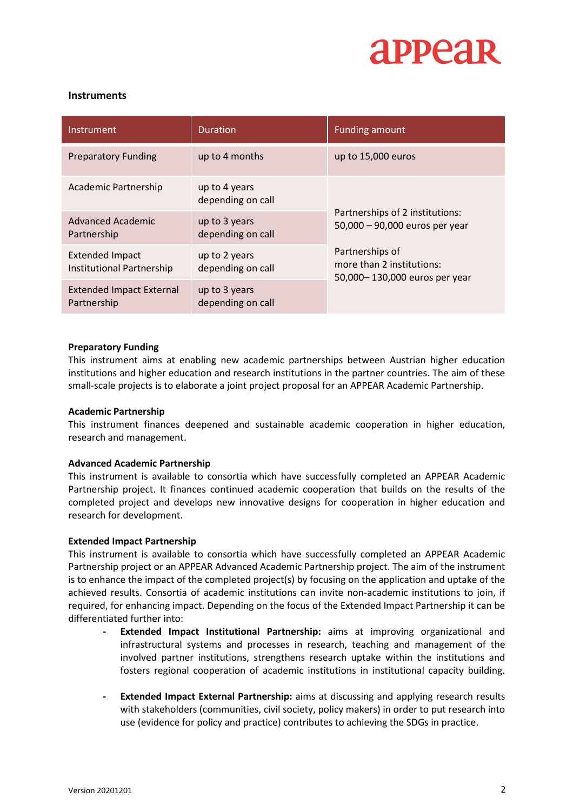

## **Instruments**

| Instrument                                          | <b>Duration</b>                    | <b>Funding amount</b>                                                         |  |  |
|-----------------------------------------------------|------------------------------------|-------------------------------------------------------------------------------|--|--|
| <b>Preparatory Funding</b>                          | up to 4 months                     | up to 15,000 euros                                                            |  |  |
| Academic Partnership                                | up to 4 years<br>depending on call |                                                                               |  |  |
| Advanced Academic<br>Partnership                    | up to 3 years<br>depending on call | Partnerships of 2 institutions:<br>50,000 - 90,000 euros per year             |  |  |
| <b>Extended Impact</b><br>Institutional Partnership | up to 2 years<br>depending on call | Partnerships of<br>more than 2 institutions:<br>50,000-130,000 euros per year |  |  |
| <b>Extended Impact External</b><br>Partnership      | up to 3 years<br>depending on call |                                                                               |  |  |

### **Preparatory Funding**

This instrument aims at enabling new academic partnerships between Austrian higher education institutions and higher education and research institutions in the partner countries. The aim of these small-scale projects is to elaborate a joint project proposal for an APPEAR Academic Partnership.

### **Academic Partnership**

This instrument finances deepened and sustainable academic cooperation in higher education, research and management.

### **Advanced Academic Partnership**

This instrument is available to consortia which have successfully completed an APPEAR Academic Partnership project. It finances continued academic cooperation that builds on the results of the completed project and develops new innovative designs for cooperation in higher education and research for development.

### **Extended Impact Partnership**

This instrument is available to consortia which have successfully completed an APPEAR Academic Partnership project or an APPEAR Advanced Academic Partnership project. The aim of the instrument is to enhance the impact of the completed project(s) by focusing on the application and uptake of the achieved results. Consortia of academic institutions can invite non-academic institutions to join, if required, for enhancing impact. Depending on the focus of the Extended Impact Partnership it can be differentiated further into:

- **- Extended Impact Institutional Partnership:** aims at improving organizational and infrastructural systems and processes in research, teaching and management of the involved partner institutions, strengthens research uptake within the institutions and fosters regional cooperation of academic institutions in institutional capacity building.
- **- Extended Impact External Partnership:** aims at discussing and applying research results with stakeholders (communities, civil society, policy makers) in order to put research into use (evidence for policy and practice) contributes to achieving the SDGs in practice.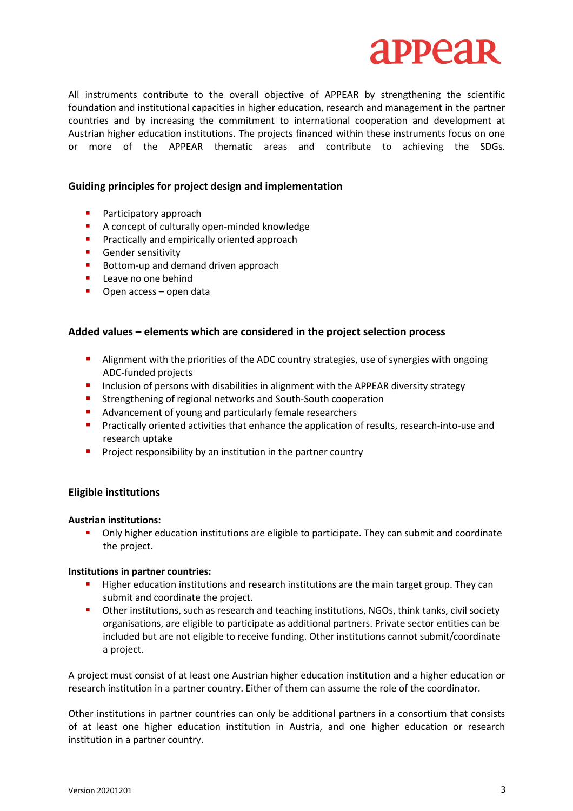

All instruments contribute to the overall objective of APPEAR by strengthening the scientific foundation and institutional capacities in higher education, research and management in the partner countries and by increasing the commitment to international cooperation and development at Austrian higher education institutions. The projects financed within these instruments focus on one or more of the APPEAR thematic areas and contribute to achieving the SDGs.

## **Guiding principles for project design and implementation**

- Participatory approach
- A concept of culturally open-minded knowledge
- **Practically and empirically oriented approach**
- **Gender sensitivity**
- Bottom-up and demand driven approach
- **Leave no one behind**
- **•** Open access open data

## **Added values – elements which are considered in the project selection process**

- **Alignment with the priorities of the ADC country strategies, use of synergies with ongoing** ADC-funded projects
- **Inclusion of persons with disabilities in alignment with the APPEAR diversity strategy**
- **E** Strengthening of regional networks and South-South cooperation
- Advancement of young and particularly female researchers
- **Practically oriented activities that enhance the application of results, research-into-use and** research uptake
- **Project responsibility by an institution in the partner country**

### **Eligible institutions**

### **Austrian institutions:**

 Only higher education institutions are eligible to participate. They can submit and coordinate the project.

### **Institutions in partner countries:**

- **Higher education institutions and research institutions are the main target group. They can** submit and coordinate the project.
- Other institutions, such as research and teaching institutions, NGOs, think tanks, civil society organisations, are eligible to participate as additional partners. Private sector entities can be included but are not eligible to receive funding. Other institutions cannot submit/coordinate a project.

A project must consist of at least one Austrian higher education institution and a higher education or research institution in a partner country. Either of them can assume the role of the coordinator.

Other institutions in partner countries can only be additional partners in a consortium that consists of at least one higher education institution in Austria, and one higher education or research institution in a partner country.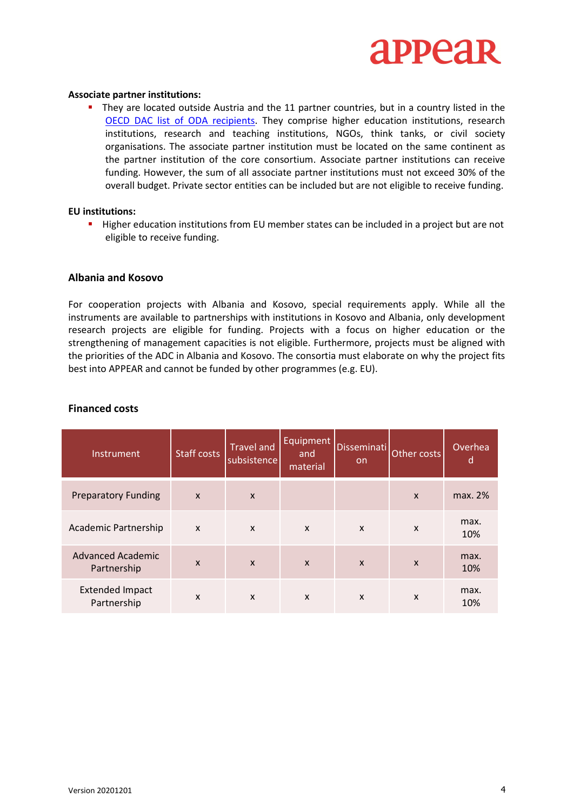

#### **Associate partner institutions:**

**They are located outside Austria and the 11 partner countries, but in a country listed in the** OECD DAC list of ODA recipients. They comprise higher education institutions, research institutions, research and teaching institutions, NGOs, think tanks, or civil society organisations. The associate partner institution must be located on the same continent as the partner institution of the core consortium. Associate partner institutions can receive funding. However, the sum of all associate partner institutions must not exceed 30% of the overall budget. Private sector entities can be included but are not eligible to receive funding.

#### **EU institutions:**

Higher education institutions from EU member states can be included in a project but are not eligible to receive funding.

### **Albania and Kosovo**

For cooperation projects with Albania and Kosovo, special requirements apply. While all the instruments are available to partnerships with institutions in Kosovo and Albania, only development research projects are eligible for funding. Projects with a focus on higher education or the strengthening of management capacities is not eligible. Furthermore, projects must be aligned with the priorities of the ADC in Albania and Kosovo. The consortia must elaborate on why the project fits best into APPEAR and cannot be funded by other programmes (e.g. EU).

| Instrument                              | <b>Staff costs</b>        | <b>Travel and</b><br>subsistence | Equipment<br>and<br>material | <b>Disseminati</b><br><b>on</b> | Other costs               | Overhea<br>d |
|-----------------------------------------|---------------------------|----------------------------------|------------------------------|---------------------------------|---------------------------|--------------|
| <b>Preparatory Funding</b>              | $\boldsymbol{\mathsf{X}}$ | $\boldsymbol{\mathsf{X}}$        |                              |                                 | $\boldsymbol{\mathsf{x}}$ | max. 2%      |
| Academic Partnership                    | X                         | X                                | X                            | $\boldsymbol{\mathsf{x}}$       | $\boldsymbol{\mathsf{x}}$ | max.<br>10%  |
| <b>Advanced Academic</b><br>Partnership | $\mathsf{x}$              | $\boldsymbol{\mathsf{x}}$        | $\mathsf{x}$                 | $\mathsf{x}$                    | $\boldsymbol{\mathsf{x}}$ | max.<br>10%  |
| <b>Extended Impact</b><br>Partnership   | X                         | $\boldsymbol{\mathsf{x}}$        | X                            | $\boldsymbol{\mathsf{x}}$       | $\boldsymbol{\mathsf{x}}$ | max.<br>10%  |

#### **Financed costs**